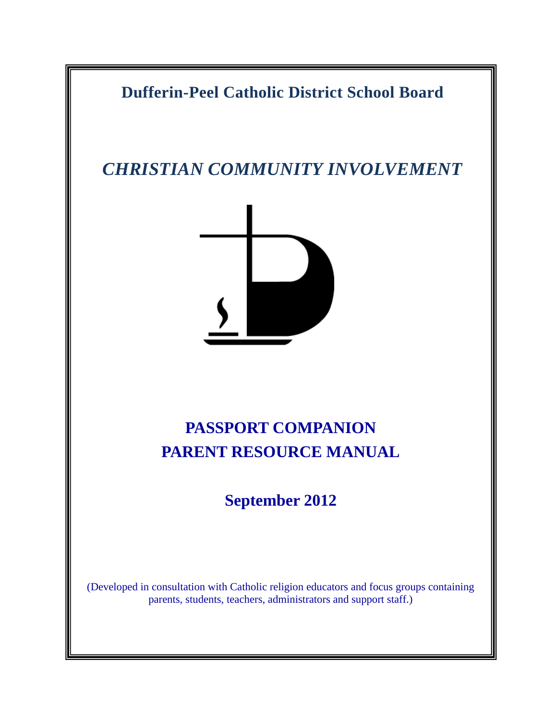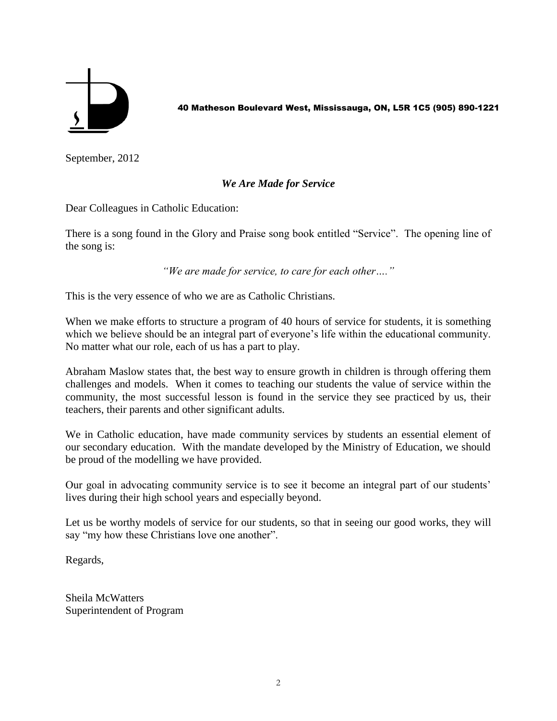

40 Matheson Boulevard West, Mississauga, ON, L5R 1C5 (905) 890-1221

September, 2012

#### *We Are Made for Service*

Dear Colleagues in Catholic Education:

There is a song found in the Glory and Praise song book entitled "Service". The opening line of the song is:

*"We are made for service, to care for each other…."*

This is the very essence of who we are as Catholic Christians.

When we make efforts to structure a program of 40 hours of service for students, it is something which we believe should be an integral part of everyone's life within the educational community. No matter what our role, each of us has a part to play.

Abraham Maslow states that, the best way to ensure growth in children is through offering them challenges and models. When it comes to teaching our students the value of service within the community, the most successful lesson is found in the service they see practiced by us, their teachers, their parents and other significant adults.

We in Catholic education, have made community services by students an essential element of our secondary education. With the mandate developed by the Ministry of Education, we should be proud of the modelling we have provided.

Our goal in advocating community service is to see it become an integral part of our students" lives during their high school years and especially beyond.

Let us be worthy models of service for our students, so that in seeing our good works, they will say "my how these Christians love one another".

Regards,

Sheila McWatters Superintendent of Program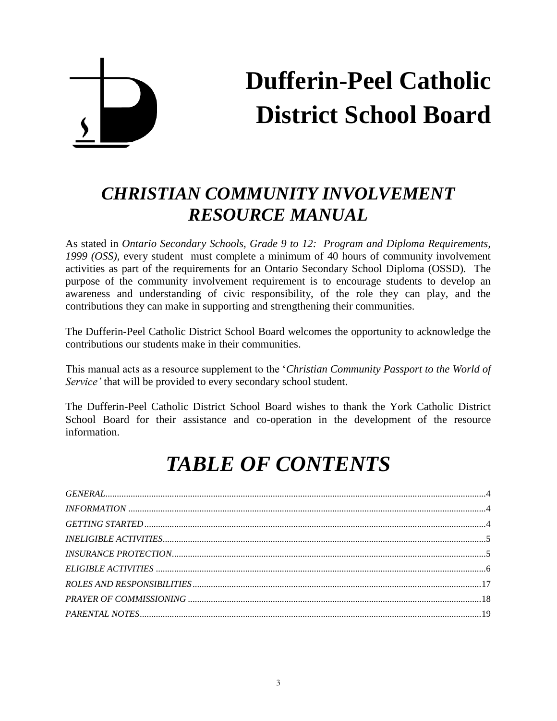## **Dufferin-Peel Catholic District School Board**

## *CHRISTIAN COMMUNITY INVOLVEMENT RESOURCE MANUAL*

As stated in *Ontario Secondary Schools, Grade 9 to 12: Program and Diploma Requirements, 1999 (OSS),* every student must complete a minimum of 40 hours of community involvement activities as part of the requirements for an Ontario Secondary School Diploma (OSSD). The purpose of the community involvement requirement is to encourage students to develop an awareness and understanding of civic responsibility, of the role they can play, and the contributions they can make in supporting and strengthening their communities.

The Dufferin-Peel Catholic District School Board welcomes the opportunity to acknowledge the contributions our students make in their communities.

This manual acts as a resource supplement to the "*Christian Community Passport to the World of Service"* that will be provided to every secondary school student.

The Dufferin-Peel Catholic District School Board wishes to thank the York Catholic District School Board for their assistance and co-operation in the development of the resource information.

## *TABLE OF CONTENTS*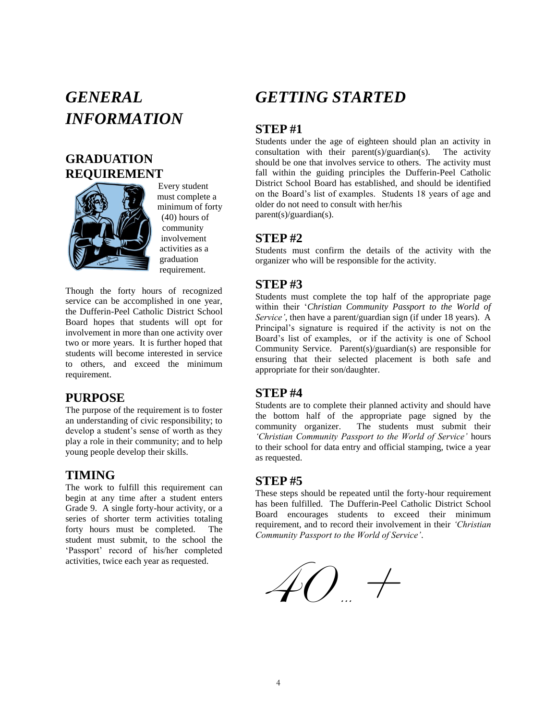### <span id="page-3-1"></span><span id="page-3-0"></span>*GENERAL INFORMATION*

### **GRADUATION REQUIREMENT**



Every student must complete a minimum of forty (40) hours of community involvement activities as a graduation requirement.

Though the forty hours of recognized service can be accomplished in one year, the Dufferin-Peel Catholic District School Board hopes that students will opt for involvement in more than one activity over two or more years. It is further hoped that students will become interested in service to others, and exceed the minimum requirement.

#### **PURPOSE**

The purpose of the requirement is to foster an understanding of civic responsibility; to develop a student's sense of worth as they play a role in their community; and to help young people develop their skills.

#### **TIMING**

The work to fulfill this requirement can begin at any time after a student enters Grade 9. A single forty-hour activity, or a series of shorter term activities totaling forty hours must be completed. The student must submit, to the school the 'Passport' record of his/her completed activities, twice each year as requested.

### <span id="page-3-2"></span>*GETTING STARTED*

### **STEP #1**

Students under the age of eighteen should plan an activity in consultation with their parent(s)/guardian(s). The activity should be one that involves service to others. The activity must fall within the guiding principles the Dufferin-Peel Catholic District School Board has established, and should be identified on the Board"s list of examples. Students 18 years of age and older do not need to consult with her/his

parent(s)/guardian(s).

#### **STEP #2**

Students must confirm the details of the activity with the organizer who will be responsible for the activity.

### **STEP #3**

Students must complete the top half of the appropriate page within their "*Christian Community Passport to the World of Service"*, then have a parent/guardian sign (if under 18 years). A Principal"s signature is required if the activity is not on the Board"s list of examples, or if the activity is one of School Community Service. Parent(s)/guardian(s) are responsible for ensuring that their selected placement is both safe and appropriate for their son/daughter.

#### **STEP #4**

Students are to complete their planned activity and should have the bottom half of the appropriate page signed by the community organizer. The students must submit their *"Christian Community Passport to the World of Service"* hours to their school for data entry and official stamping, twice a year as requested.

#### **STEP #5**

These steps should be repeated until the forty-hour requirement has been fulfilled. The Dufferin-Peel Catholic District School Board encourages students to exceed their minimum requirement, and to record their involvement in their *"Christian Community Passport to the World of Service"*.

 $\#$ ( )  $\rightarrow$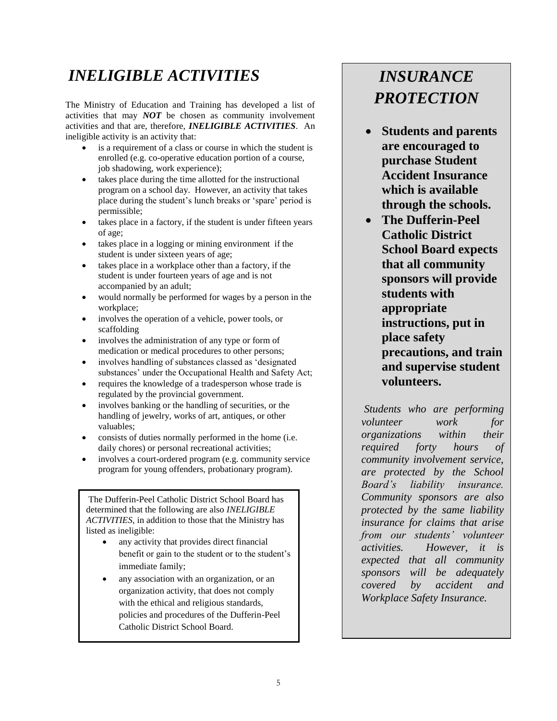### <span id="page-4-0"></span>*INELIGIBLE ACTIVITIES*

The Ministry of Education and Training has developed a list of activities that may *NOT* be chosen as community involvement activities and that are, therefore, *INELIGIBLE ACTIVITIES*. An ineligible activity is an activity that:

- is a requirement of a class or course in which the student is enrolled (e.g. co-operative education portion of a course, job shadowing, work experience);
- takes place during the time allotted for the instructional program on a school day. However, an activity that takes place during the student"s lunch breaks or "spare" period is permissible;
- takes place in a factory, if the student is under fifteen years of age;
- takes place in a logging or mining environment if the student is under sixteen years of age;
- takes place in a workplace other than a factory, if the student is under fourteen years of age and is not accompanied by an adult;
- would normally be performed for wages by a person in the workplace;
- involves the operation of a vehicle, power tools, or scaffolding
- involves the administration of any type or form of medication or medical procedures to other persons;
- involves handling of substances classed as "designated substances' under the Occupational Health and Safety Act;
- requires the knowledge of a tradesperson whose trade is regulated by the provincial government.
- involves banking or the handling of securities, or the handling of jewelry, works of art, antiques, or other valuables;
- consists of duties normally performed in the home (i.e. daily chores) or personal recreational activities;
- involves a court-ordered program (e.g. community service program for young offenders, probationary program).

The Dufferin-Peel Catholic District School Board has determined that the following are also *INELIGIBLE ACTIVITIES*, in addition to those that the Ministry has listed as ineligible:

- any activity that provides direct financial benefit or gain to the student or to the student"s immediate family;
- any association with an organization, or an organization activity, that does not comply with the ethical and religious standards, policies and procedures of the Dufferin-Peel Catholic District School Board.

### *INSURANCE PROTECTION*

- **Students and parents are encouraged to purchase Student Accident Insurance which is available through the schools.**
- **The Dufferin-Peel Catholic District School Board expects that all community sponsors will provide students with appropriate instructions, put in place safety precautions, and train and supervise student volunteers.**

*Students who are performing volunteer work for organizations within their required forty hours of community involvement service, are protected by the School Board"s liability insurance. Community sponsors are also protected by the same liability insurance for claims that arise from our students" volunteer activities. However, it is expected that all community sponsors will be adequately covered by accident and Workplace Safety Insurance.*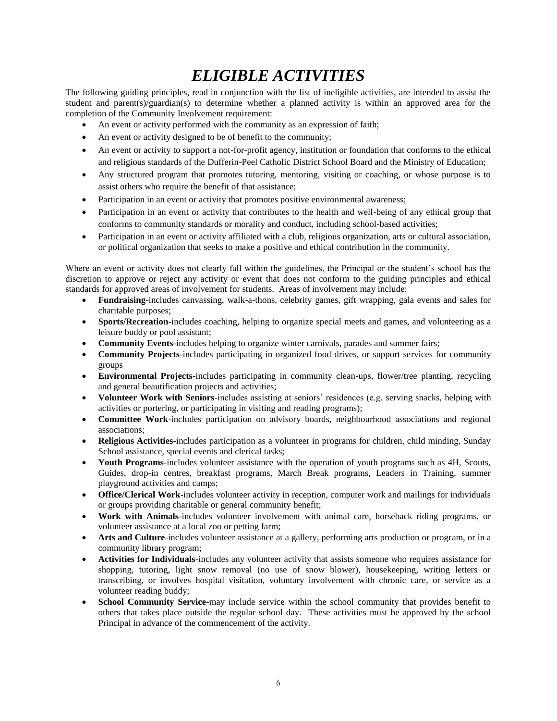### *ELIGIBLE ACTIVITIES*

<span id="page-5-0"></span>The following guiding principles, read in conjunction with the list of ineligible activities, are intended to assist the student and parent(s)/guardian(s) to determine whether a planned activity is within an approved area for the completion of the Community Involvement requirement:

- An event or activity performed with the community as an expression of faith;
- An event or activity designed to be of benefit to the community;
- An event or activity to support a not-for-profit agency, institution or foundation that conforms to the ethical and religious standards of the Dufferin-Peel Catholic District School Board and the Ministry of Education;
- Any structured program that promotes tutoring, mentoring, visiting or coaching, or whose purpose is to assist others who require the benefit of that assistance;
- Participation in an event or activity that promotes positive environmental awareness;
- Participation in an event or activity that contributes to the health and well-being of any ethical group that conforms to community standards or morality and conduct, including school-based activities;
- Participation in an event or activity affiliated with a club, religious organization, arts or cultural association, or political organization that seeks to make a positive and ethical contribution in the community.

Where an event or activity does not clearly fall within the guidelines, the Principal or the student's school has the discretion to approve or reject any activity or event that does not conform to the guiding principles and ethical standards for approved areas of involvement for students. Areas of involvement may include:

- **Fundraising**-includes canvassing, walk-a-thons, celebrity games, gift wrapping, gala events and sales for charitable purposes;
- **Sports/Recreation**-includes coaching, helping to organize special meets and games, and volunteering as a leisure buddy or pool assistant;
- **Community Events**-includes helping to organize winter carnivals, parades and summer fairs;
- **Community Projects**-includes participating in organized food drives, or support services for community groups
- **Environmental Projects**-includes participating in community clean-ups, flower/tree planting, recycling and general beautification projects and activities;
- **Volunteer Work with Seniors**-includes assisting at seniors" residences (e.g. serving snacks, helping with activities or portering, or participating in visiting and reading programs);
- **Committee Work**-includes participation on advisory boards, neighbourhood associations and regional associations;
- **Religious Activities**-includes participation as a volunteer in programs for children, child minding, Sunday School assistance, special events and clerical tasks;
- **Youth Programs**-includes volunteer assistance with the operation of youth programs such as 4H, Scouts, Guides, drop-in centres, breakfast programs, March Break programs, Leaders in Training, summer playground activities and camps;
- **Office/Clerical Work**-includes volunteer activity in reception, computer work and mailings for individuals or groups providing charitable or general community benefit;
- **Work with Animals**-includes volunteer involvement with animal care, horseback riding programs, or volunteer assistance at a local zoo or petting farm;
- **Arts and Culture**-includes volunteer assistance at a gallery, performing arts production or program, or in a community library program;
- **Activities for Individuals**-includes any volunteer activity that assists someone who requires assistance for shopping, tutoring, light snow removal (no use of snow blower), housekeeping, writing letters or transcribing, or involves hospital visitation, voluntary involvement with chronic care, or service as a volunteer reading buddy;
- **School Community Service**-may include service within the school community that provides benefit to others that takes place outside the regular school day. These activities must be approved by the school Principal in advance of the commencement of the activity.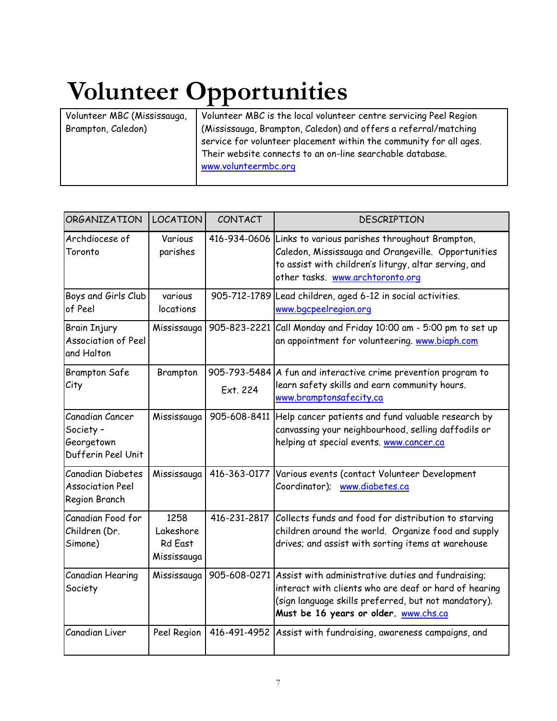# **Volunteer Opportunities**

| Volunteer MBC (Mississauga, | Volunteer MBC is the local volunteer centre servicing Peel Region                                                                                                                                                          |
|-----------------------------|----------------------------------------------------------------------------------------------------------------------------------------------------------------------------------------------------------------------------|
| Brampton, Caledon)          | (Mississauga, Brampton, Caledon) and offers a referral/matching<br>service for volunteer placement within the community for all ages.<br>Their website connects to an on-line searchable database.<br>www.volunteermbc.org |

| <b>ORGANIZATION</b>                                              | LOCATION                                           | CONTACT                  | DESCRIPTION                                                                                                                                                                                                               |
|------------------------------------------------------------------|----------------------------------------------------|--------------------------|---------------------------------------------------------------------------------------------------------------------------------------------------------------------------------------------------------------------------|
| Archdiocese of<br>Toronto                                        | Various<br>parishes                                |                          | 416-934-0606 Links to various parishes throughout Brampton,<br>Caledon, Mississauga and Orangeville. Opportunities<br>to assist with children's liturgy, altar serving, and<br>other tasks. www.archtoronto.org           |
| Boys and Girls Club<br>of Peel                                   | various<br>locations                               |                          | 905-712-1789 Lead children, aged 6-12 in social activities.<br>www.bgcpeelregion.org                                                                                                                                      |
| <b>Brain Injury</b><br><b>Association of Peel</b><br>and Halton  | Mississauga                                        |                          | 905-823-2221 Call Monday and Friday 10:00 am - 5:00 pm to set up<br>an appointment for volunteering. www.biaph.com                                                                                                        |
| <b>Brampton Safe</b><br>City                                     | Brampton                                           | 905-793-5484<br>Ext. 224 | A fun and interactive crime prevention program to<br>learn safety skills and earn community hours.<br>www.bramptonsafecity.ca                                                                                             |
| Canadian Cancer<br>Society -<br>Georgetown<br>Dufferin Peel Unit | Mississauga                                        | 905-608-8411             | Help cancer patients and fund valuable research by<br>canvassing your neighbourhood, selling daffodils or<br>helping at special events. www.cancer.ca                                                                     |
| Canadian Diabetes<br><b>Association Peel</b><br>Region Branch    | Mississauga                                        |                          | 416-363-0177 Various events (contact Volunteer Development<br>Coordinator); www.diabetes.ca                                                                                                                               |
| Canadian Food for<br>Children (Dr.<br>Simone)                    | 1258<br>Lakeshore<br><b>Rd East</b><br>Mississauga |                          | 416-231-2817 Collects funds and food for distribution to starving<br>children around the world. Organize food and supply<br>drives; and assist with sorting items at warehouse                                            |
| Canadian Hearing<br>Society                                      | Mississauga                                        |                          | 905-608-0271 Assist with administrative duties and fundraising;<br>interact with clients who are deaf or hard of hearing<br>(sign language skills preferred, but not mandatory).<br>Must be 16 years or older. www.chs.ca |
| Canadian Liver                                                   | Peel Region                                        | 416-491-4952             | Assist with fundraising, awareness campaigns, and                                                                                                                                                                         |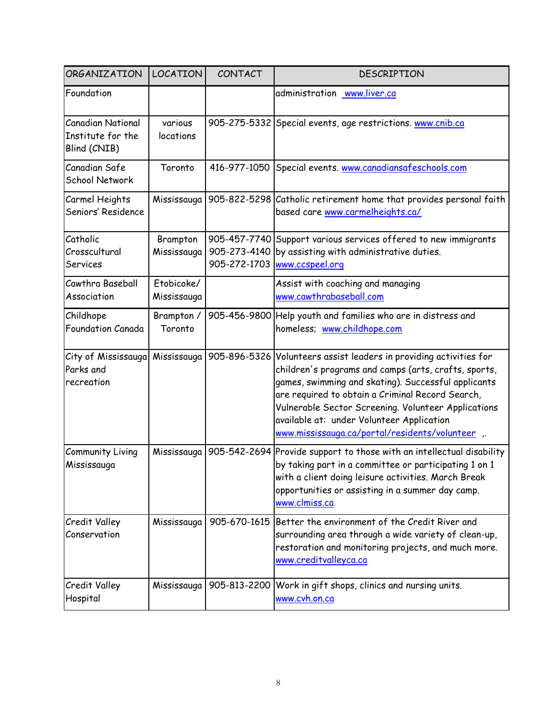| <b>ORGANIZATION</b>                                           | <b>LOCATION</b>           | CONTACT      | DESCRIPTION                                                                                                                                                                                                                                                                                                                                                                     |
|---------------------------------------------------------------|---------------------------|--------------|---------------------------------------------------------------------------------------------------------------------------------------------------------------------------------------------------------------------------------------------------------------------------------------------------------------------------------------------------------------------------------|
| Foundation                                                    |                           |              | administration www.liver.ca                                                                                                                                                                                                                                                                                                                                                     |
| <b>Canadian National</b><br>Institute for the<br>Blind (CNIB) | various<br>locations      |              | 905-275-5332 Special events, age restrictions. www.cnib.ca                                                                                                                                                                                                                                                                                                                      |
| Canadian Safe<br>School Network                               | Toronto                   |              | 416-977-1050 Special events. www.canadiansafeschools.com                                                                                                                                                                                                                                                                                                                        |
| Carmel Heights<br>Seniors' Residence                          | Mississauga               |              | 905-822-5298 Catholic retirement home that provides personal faith<br>based care www.carmelheights.ca/                                                                                                                                                                                                                                                                          |
| Catholic<br>Crosscultural<br>Services                         | Brampton<br>Mississauga   | 905-273-4140 | 905-457-7740 Support various services offered to new immigrants<br>by assisting with administrative duties.<br>905-272-1703 www.ccspeel.org                                                                                                                                                                                                                                     |
| Cawthra Baseball<br>Association                               | Etobicoke/<br>Mississauga |              | Assist with coaching and managing<br>www.cawthrabaseball.com                                                                                                                                                                                                                                                                                                                    |
| Childhope<br>Foundation Canada                                | Brampton /<br>Toronto     |              | 905-456-9800 Help youth and families who are in distress and<br>homeless; www.childhope.com                                                                                                                                                                                                                                                                                     |
| City of Mississauga Mississauga<br>Parks and<br>recreation    |                           | 905-896-5326 | Volunteers assist leaders in providing activities for<br>children's programs and camps (arts, crafts, sports,<br>games, swimming and skating). Successful applicants<br>are required to obtain a Criminal Record Search,<br>Vulnerable Sector Screening. Volunteer Applications<br>available at: under Volunteer Application<br>www.mississauga.ca/portal/residents/volunteer , |
| Community Living<br>Mississauga                               | Mississauga               |              | 905-542-2694 Provide support to those with an intellectual disability<br>by taking part in a committee or participating 1 on 1<br>with a client doing leisure activities. March Break<br>opportunities or assisting in a summer day camp.<br>www.clmiss.ca                                                                                                                      |
| Credit Valley<br>Conservation                                 | Mississauga               | 905-670-1615 | Better the environment of the Credit River and<br>surrounding area through a wide variety of clean-up,<br>restoration and monitoring projects, and much more.<br>www.creditvalleyca.ca                                                                                                                                                                                          |
| Credit Valley<br>Hospital                                     | Mississauga               | 905-813-2200 | Work in gift shops, clinics and nursing units.<br>www.cvh.on.ca                                                                                                                                                                                                                                                                                                                 |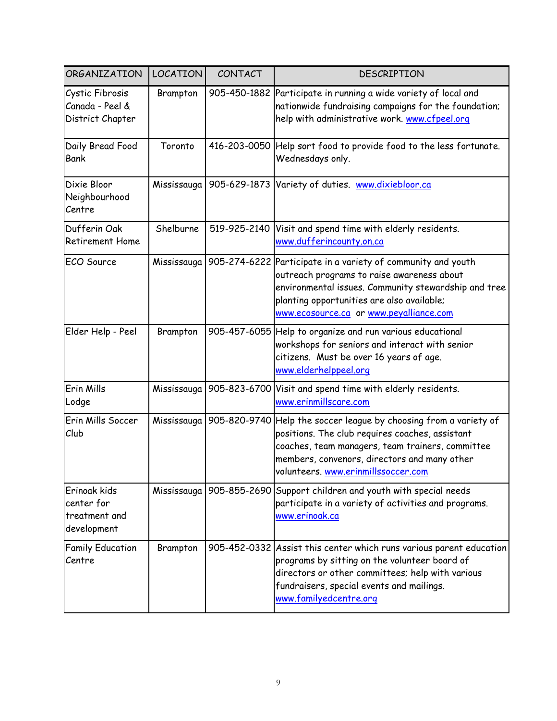| ORGANIZATION                                               | <b>LOCATION</b> | CONTACT      | DESCRIPTION                                                                                                                                                                                                                                                     |
|------------------------------------------------------------|-----------------|--------------|-----------------------------------------------------------------------------------------------------------------------------------------------------------------------------------------------------------------------------------------------------------------|
| Cystic Fibrosis<br>Canada - Peel &<br>District Chapter     | Brampton        |              | 905-450-1882 Participate in running a wide variety of local and<br>nationwide fundraising campaigns for the foundation;<br>help with administrative work. www.cfpeel.org                                                                                        |
| Daily Bread Food<br>Bank                                   | Toronto         |              | 416-203-0050 Help sort food to provide food to the less fortunate.<br>Wednesdays only.                                                                                                                                                                          |
| Dixie Bloor<br>Neighbourhood<br>Centre                     | Mississauga     |              | 905-629-1873 Variety of duties. www.dixiebloor.ca                                                                                                                                                                                                               |
| Dufferin Oak<br>Retirement Home                            | Shelburne       | 519-925-2140 | Visit and spend time with elderly residents.<br>www.dufferincounty.on.ca                                                                                                                                                                                        |
| ECO Source                                                 | Mississauga     |              | 905-274-6222 Participate in a variety of community and youth<br>outreach programs to raise awareness about<br>environmental issues. Community stewardship and tree<br>planting opportunities are also available;<br>www.ecosource.ca or www.peyalliance.com     |
| Elder Help - Peel                                          | Brampton        |              | 905-457-6055 Help to organize and run various educational<br>workshops for seniors and interact with senior<br>citizens. Must be over 16 years of age.<br>www.elderhelppeel.org                                                                                 |
| Erin Mills<br>Lodge                                        | Mississauga     | 905-823-6700 | Visit and spend time with elderly residents.<br>www.erinmillscare.com                                                                                                                                                                                           |
| Erin Mills Soccer<br>Club                                  | Mississauga     |              | 905-820-9740 Help the soccer league by choosing from a variety of<br>positions. The club requires coaches, assistant<br>coaches, team managers, team trainers, committee<br>members, convenors, directors and many other<br>volunteers. www.erinmillssoccer.com |
| Erinoak kids<br>center for<br>treatment and<br>development |                 |              | Mississauga   905-855-2690 Support children and youth with special needs<br>participate in a variety of activities and programs.<br>www.erinoak.ca                                                                                                              |
| <b>Family Education</b><br>Centre                          | Brampton        |              | 905-452-0332 Assist this center which runs various parent education<br>programs by sitting on the volunteer board of<br>directors or other committees; help with various<br>fundraisers, special events and mailings.<br>www.familyedcentre.org                 |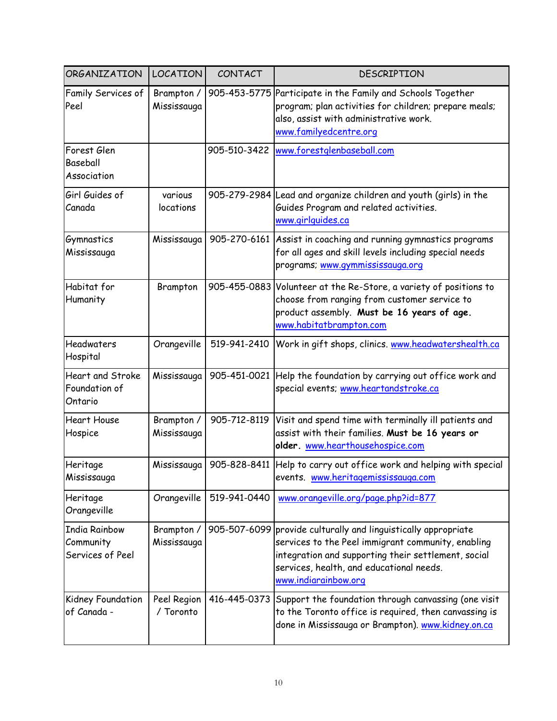| ORGANIZATION                                          | <b>LOCATION</b>           | CONTACT      | <b>DESCRIPTION</b>                                                                                                                                                                                                                              |
|-------------------------------------------------------|---------------------------|--------------|-------------------------------------------------------------------------------------------------------------------------------------------------------------------------------------------------------------------------------------------------|
| Family Services of<br>Peel                            | Brampton /<br>Mississauga | 905-453-5775 | Participate in the Family and Schools Together<br>program; plan activities for children; prepare meals;<br>also, assist with administrative work.<br>www.familyedcentre.org                                                                     |
| Forest Glen<br>Baseball<br>Association                |                           |              | 905-510-3422 www.forestglenbaseball.com                                                                                                                                                                                                         |
| Girl Guides of<br>Canada                              | various<br>locations      |              | 905-279-2984 Lead and organize children and youth (girls) in the<br>Guides Program and related activities.<br>www.girlguides.ca                                                                                                                 |
| Gymnastics<br>Mississauga                             | Mississauga               |              | 905-270-6161 Assist in coaching and running gymnastics programs<br>for all ages and skill levels including special needs<br>programs; www.qymmississauga.org                                                                                    |
| Habitat for<br>Humanity                               | Brampton                  |              | 905-455-0883 Volunteer at the Re-Store, a variety of positions to<br>choose from ranging from customer service to<br>product assembly. Must be 16 years of age.<br>www.habitatbrampton.com                                                      |
| <b>Headwaters</b><br>Hospital                         | Orangeville               | 519-941-2410 | Work in gift shops, clinics. www.headwatershealth.ca                                                                                                                                                                                            |
| <b>Heart and Stroke</b><br>Foundation of<br>Ontario   | Mississauga               |              | 905-451-0021 Help the foundation by carrying out office work and<br>special events; www.heartandstroke.ca                                                                                                                                       |
| <b>Heart House</b><br>Hospice                         | Brampton /<br>Mississauga | 905-712-8119 | Visit and spend time with terminally ill patients and<br>assist with their families. Must be 16 years or<br>older. www.hearthousehospice.com                                                                                                    |
| Heritage<br>Mississauga                               | Mississauga               |              | 905-828-8411 Help to carry out office work and helping with special<br>events. www.heritagemississauga.com                                                                                                                                      |
| Heritage<br>Orangeville                               | Orangeville               | 519-941-0440 | www.orangeville.org/page.php?id=877                                                                                                                                                                                                             |
| <b>India Rainbow</b><br>Community<br>Services of Peel | Brampton /<br>Mississauga |              | 905-507-6099 provide culturally and linguistically appropriate<br>services to the Peel immigrant community, enabling<br>integration and supporting their settlement, social<br>services, health, and educational needs.<br>www.indiarainbow.org |
| Kidney Foundation<br>of Canada -                      | Peel Region<br>/ Toronto  |              | 416-445-0373 Support the foundation through canvassing (one visit<br>to the Toronto office is required, then canvassing is<br>done in Mississauga or Brampton). www.kidney.on.ca                                                                |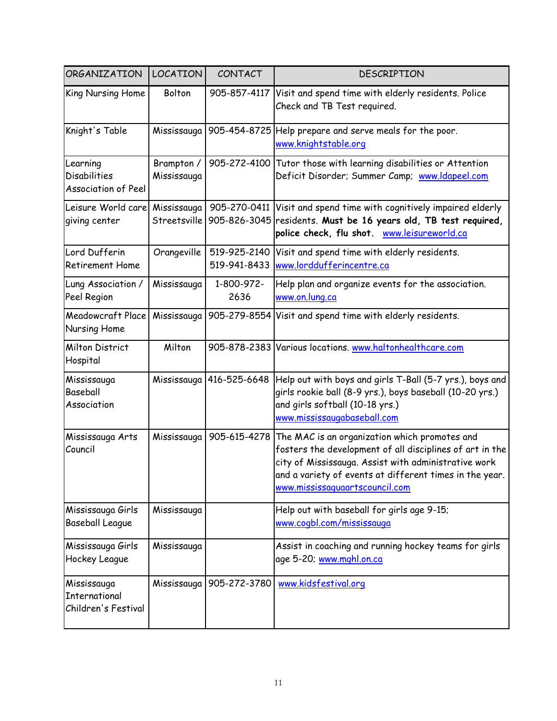| <b>ORGANIZATION</b>                                    | <b>LOCATION</b>             | CONTACT                  | <b>DESCRIPTION</b>                                                                                                                                                                                                                                             |
|--------------------------------------------------------|-----------------------------|--------------------------|----------------------------------------------------------------------------------------------------------------------------------------------------------------------------------------------------------------------------------------------------------------|
| King Nursing Home                                      | Bolton                      | 905-857-4117             | Visit and spend time with elderly residents. Police<br>Check and TB Test required.                                                                                                                                                                             |
| Knight's Table                                         | Mississauga                 |                          | 905-454-8725 Help prepare and serve meals for the poor.<br>www.knightstable.org                                                                                                                                                                                |
| Learning<br><b>Disabilities</b><br>Association of Peel | Brampton /<br>Mississauga   | 905-272-4100             | Tutor those with learning disabilities or Attention<br>Deficit Disorder; Summer Camp; www.ldapeel.com                                                                                                                                                          |
| Leisure World care<br>giving center                    | Mississauga<br>Streetsville | 905-270-0411             | Visit and spend time with cognitively impaired elderly<br>905-826-3045 residents. Must be 16 years old, TB test required,<br>police check, flu shot. www.leisureworld.ca                                                                                       |
| Lord Dufferin<br>Retirement Home                       | Orangeville                 | 519-925-2140             | Visit and spend time with elderly residents.<br>519-941-8433 www.lorddufferincentre.ca                                                                                                                                                                         |
| Lung Association /<br>Peel Region                      | Mississauga                 | 1-800-972-<br>2636       | Help plan and organize events for the association.<br>www.on.lung.ca                                                                                                                                                                                           |
| <b>Meadowcraft Place</b><br>Nursing Home               | Mississauga                 |                          | 905-279-8554 Visit and spend time with elderly residents.                                                                                                                                                                                                      |
| <b>Milton District</b><br>Hospital                     | Milton                      |                          | 905-878-2383 Various locations. www.haltonhealthcare.com                                                                                                                                                                                                       |
| Mississauga<br>Baseball<br>Association                 |                             | Mississauga 416-525-6648 | Help out with boys and girls T-Ball (5-7 yrs.), boys and<br>girls rookie ball (8-9 yrs.), boys baseball (10-20 yrs.)<br>and girls softball (10-18 yrs.)<br>www.mississaugabaseball.com                                                                         |
| Mississauga Arts<br>Council                            | Mississauga                 | 905-615-4278             | The MAC is an organization which promotes and<br>fosters the development of all disciplines of art in the<br>city of Mississauga. Assist with administrative work<br>and a variety of events at different times in the year.<br>www.mississaguaartscouncil.com |
| Mississauga Girls<br><b>Baseball League</b>            | Mississauga                 |                          | Help out with baseball for girls age 9-15;<br>www.cogbl.com/mississauga                                                                                                                                                                                        |
| Mississauga Girls<br>Hockey League                     | Mississauga                 |                          | Assist in coaching and running hockey teams for girls<br>age 5-20; www.mghl.on.ca                                                                                                                                                                              |
| Mississauga<br>International<br>Children's Festival    | Mississauga                 | 905-272-3780             | www.kidsfestival.org                                                                                                                                                                                                                                           |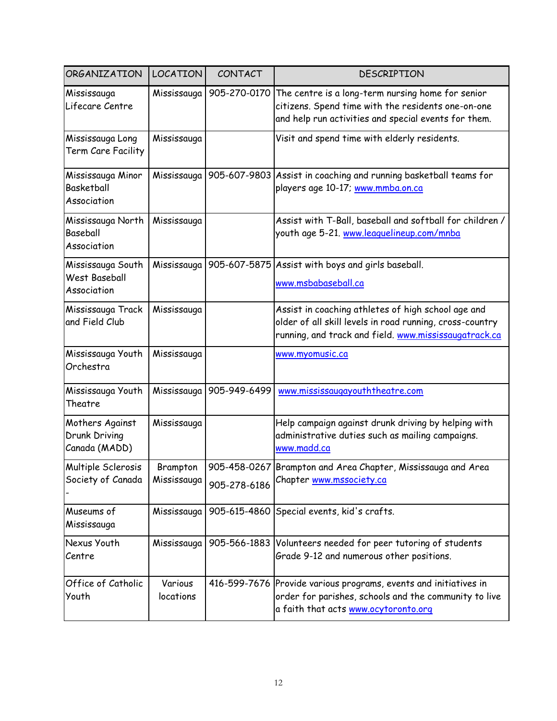| ORGANIZATION                                             | <b>LOCATION</b>         | CONTACT                      | DESCRIPTION                                                                                                                                                             |
|----------------------------------------------------------|-------------------------|------------------------------|-------------------------------------------------------------------------------------------------------------------------------------------------------------------------|
| Mississauga<br>Lifecare Centre                           | Mississauga             | 905-270-0170                 | The centre is a long-term nursing home for senior<br>citizens. Spend time with the residents one-on-one<br>and help run activities and special events for them.         |
| Mississauga Long<br>Term Care Facility                   | Mississauga             |                              | Visit and spend time with elderly residents.                                                                                                                            |
| Mississauga Minor<br><b>Basketball</b><br>Association    |                         | Mississauga 905-607-9803     | Assist in coaching and running basketball teams for<br>players age 10-17; www.mmba.on.ca                                                                                |
| Mississauga North<br>Baseball<br>Association             | Mississauga             |                              | Assist with T-Ball, baseball and softball for children /<br>youth age 5-21. www.leaguelineup.com/mnba                                                                   |
| Mississauga South<br><b>West Baseball</b><br>Association |                         |                              | Mississauga   905-607-5875   Assist with boys and girls baseball.<br>www.msbabaseball.ca                                                                                |
| Mississauga Track<br>and Field Club                      | Mississauga             |                              | Assist in coaching athletes of high school age and<br>older of all skill levels in road running, cross-country<br>running, and track and field. www.mississaugatrack.ca |
| Mississauga Youth<br>Orchestra                           | Mississauga             |                              | www.myomusic.ca                                                                                                                                                         |
| Mississauga Youth<br>Theatre                             |                         | Mississauga   905-949-6499   | www.mississaugayouththeatre.com                                                                                                                                         |
| Mothers Against<br>Drunk Driving<br>Canada (MADD)        | Mississauga             |                              | Help campaign against drunk driving by helping with<br>administrative duties such as mailing campaigns.<br>www.madd.ca                                                  |
| Multiple Sclerosis<br>Society of Canada                  | Brampton<br>Mississauga | 905-458-0267<br>905-278-6186 | Brampton and Area Chapter, Mississauga and Area<br>Chapter www.mssociety.ca                                                                                             |
| Museums of<br>Mississauga                                | Mississauga             |                              | 905-615-4860 Special events, kid's crafts.                                                                                                                              |
| Nexus Youth<br>Centre                                    | Mississauga             | 905-566-1883                 | Volunteers needed for peer tutoring of students<br>Grade 9-12 and numerous other positions.                                                                             |
| Office of Catholic<br>Youth                              | Various<br>locations    |                              | 416-599-7676 Provide various programs, events and initiatives in<br>order for parishes, schools and the community to live<br>a faith that acts www.ocytoronto.org       |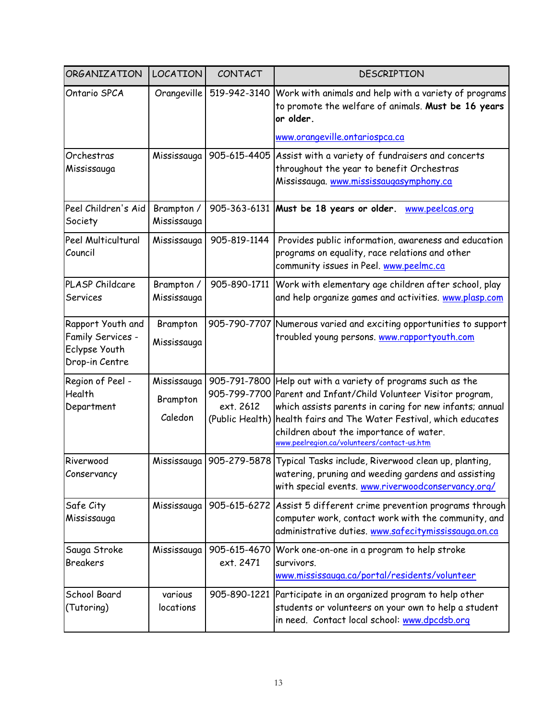| ORGANIZATION                                                              | <b>LOCATION</b>                    | CONTACT                   | DESCRIPTION                                                                                                                                                                                                                                                                                                                                    |
|---------------------------------------------------------------------------|------------------------------------|---------------------------|------------------------------------------------------------------------------------------------------------------------------------------------------------------------------------------------------------------------------------------------------------------------------------------------------------------------------------------------|
| Ontario SPCA                                                              | Orangeville                        | 519-942-3140              | Work with animals and help with a variety of programs<br>to promote the welfare of animals. Must be 16 years<br>or older.<br>www.orangeville.ontariospca.ca                                                                                                                                                                                    |
|                                                                           |                                    |                           |                                                                                                                                                                                                                                                                                                                                                |
| Orchestras<br>Mississauga                                                 | Mississauga                        |                           | 905-615-4405 Assist with a variety of fundraisers and concerts<br>throughout the year to benefit Orchestras<br>Mississauga. www.mississaugasymphony.ca                                                                                                                                                                                         |
| Peel Children's Aid<br>Society                                            | Brampton /<br>Mississauga          |                           | 905-363-6131 Must be 18 years or older.<br>www.peelcas.org                                                                                                                                                                                                                                                                                     |
| Peel Multicultural<br>Council                                             | Mississauga                        | 905-819-1144              | Provides public information, awareness and education<br>programs on equality, race relations and other<br>community issues in Peel. www.peelmc.ca                                                                                                                                                                                              |
| PLASP Childcare<br>Services                                               | Brampton /<br>Mississauga          | 905-890-1711              | Work with elementary age children after school, play<br>and help organize games and activities. www.plasp.com                                                                                                                                                                                                                                  |
| Rapport Youth and<br>Family Services -<br>Eclypse Youth<br>Drop-in Centre | Brampton<br>Mississauga            |                           | 905-790-7707 Numerous varied and exciting opportunities to support<br>troubled young persons. www.rapportyouth.com                                                                                                                                                                                                                             |
| Region of Peel -<br>Health<br>Department                                  | Mississauga<br>Brampton<br>Caledon | 905-791-7800<br>ext. 2612 | Help out with a variety of programs such as the<br>905-799-7700 Parent and Infant/Child Volunteer Visitor program,<br>which assists parents in caring for new infants; annual<br>(Public Health) health fairs and The Water Festival, which educates<br>children about the importance of water.<br>www.peelregion.ca/volunteers/contact-us.htm |
| Riverwood<br>Conservancy                                                  | Mississauga                        |                           | 905-279-5878 Typical Tasks include, Riverwood clean up, planting,<br>watering, pruning and weeding gardens and assisting<br>with special events. www.riverwoodconservancy.org/                                                                                                                                                                 |
| Safe City<br>Mississauga                                                  | Mississauga                        |                           | 905-615-6272   Assist 5 different crime prevention programs through<br>computer work, contact work with the community, and<br>administrative duties. www.safecitymississauga.on.ca                                                                                                                                                             |
| Sauga Stroke<br><b>Breakers</b>                                           | Mississauga                        | 905-615-4670<br>ext. 2471 | Work one-on-one in a program to help stroke<br>survivors.<br>www.mississauga.ca/portal/residents/volunteer                                                                                                                                                                                                                                     |
| School Board<br>(Tutoring)                                                | various<br>locations               |                           | 905-890-1221 Participate in an organized program to help other<br>students or volunteers on your own to help a student<br>in need. Contact local school: www.dpcdsb.org                                                                                                                                                                        |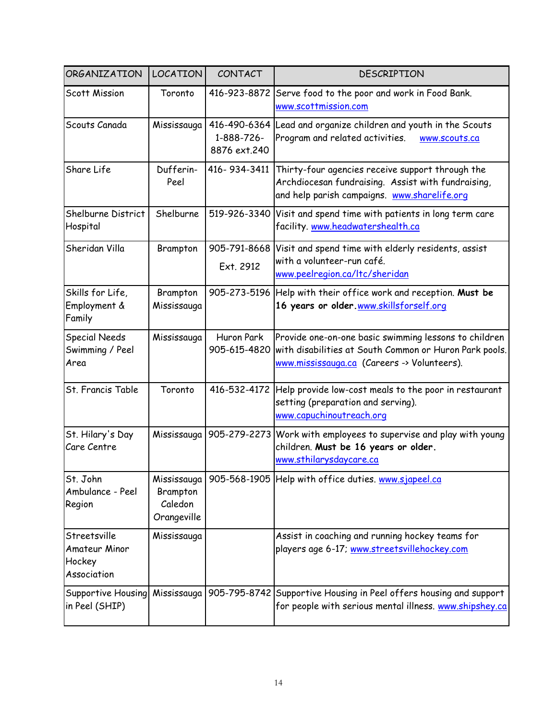| <b>ORGANIZATION</b>                                    | <b>LOCATION</b>                                   | CONTACT                                    | <b>DESCRIPTION</b>                                                                                                                                             |
|--------------------------------------------------------|---------------------------------------------------|--------------------------------------------|----------------------------------------------------------------------------------------------------------------------------------------------------------------|
| <b>Scott Mission</b>                                   | Toronto                                           | 416-923-8872                               | Serve food to the poor and work in Food Bank.<br>www.scottmission.com                                                                                          |
| Scouts Canada                                          | Mississauga                                       | 416-490-6364<br>1-888-726-<br>8876 ext.240 | Lead and organize children and youth in the Scouts<br>Program and related activities.<br>www.scouts.ca                                                         |
| Share Life                                             | Dufferin-<br>Peel                                 | 416-934-3411                               | Thirty-four agencies receive support through the<br>Archdiocesan fundraising. Assist with fundraising,<br>and help parish campaigns. www.sharelife.org         |
| Shelburne District<br>Hospital                         | Shelburne                                         |                                            | 519-926-3340 Visit and spend time with patients in long term care<br>facility. www.headwatershealth.ca                                                         |
| Sheridan Villa                                         | Brampton                                          | 905-791-8668<br>Ext. 2912                  | Visit and spend time with elderly residents, assist<br>with a volunteer-run café.<br>www.peelregion.ca/ltc/sheridan                                            |
| Skills for Life,<br>Employment &<br>Family             | Brampton<br>Mississauga                           |                                            | 905-273-5196 Help with their office work and reception. Must be<br>16 years or older www.skillsforself.org                                                     |
| <b>Special Needs</b><br>Swimming / Peel<br>Area        | Mississauga                                       | Huron Park<br>905-615-4820                 | Provide one-on-one basic swimming lessons to children<br>with disabilities at South Common or Huron Park pools.<br>www.mississauga.ca (Careers -> Volunteers). |
| St. Francis Table                                      | Toronto                                           |                                            | 416-532-4172 Help provide low-cost meals to the poor in restaurant<br>setting (preparation and serving).<br>www.capuchinoutreach.org                           |
| St. Hilary's Day<br>Care Centre                        |                                                   |                                            | Mississauga   905-279-2273 Work with employees to supervise and play with young<br>children. Must be 16 years or older.<br>www.sthilarysdaycare.ca             |
| St. John<br>Ambulance - Peel<br>Region                 | Mississauga<br>Brampton<br>Caledon<br>Orangeville |                                            | 905-568-1905 Help with office duties. www.sjapeel.ca                                                                                                           |
| Streetsville<br>Amateur Minor<br>Hockey<br>Association | Mississauga                                       |                                            | Assist in coaching and running hockey teams for<br>players age 6-17; www.streetsvillehockey.com                                                                |
| Supportive Housing<br>in Peel (SHIP)                   |                                                   |                                            | Mississauga   905-795-8742   Supportive Housing in Peel offers housing and support<br>for people with serious mental illness. www.shipshey.ca                  |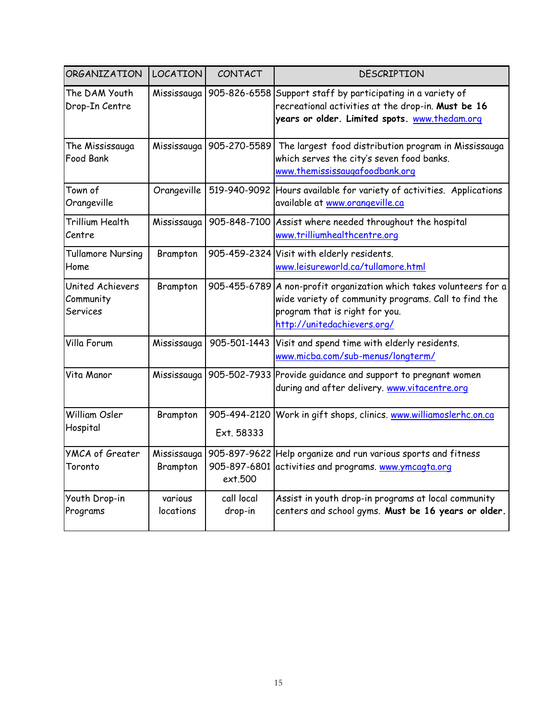| ORGANIZATION                              | <b>LOCATION</b>      | CONTACT                    | DESCRIPTION                                                                                                                                                                                  |
|-------------------------------------------|----------------------|----------------------------|----------------------------------------------------------------------------------------------------------------------------------------------------------------------------------------------|
| The DAM Youth<br>Drop-In Centre           |                      |                            | Mississauga   905-826-6558 Support staff by participating in a variety of<br>recreational activities at the drop-in. Must be 16<br>years or older. Limited spots. www.thedam.org             |
| The Mississauga<br>Food Bank              |                      |                            | Mississauga   905-270-5589   The largest food distribution program in Mississauga<br>which serves the city's seven food banks.<br>www.themississaugafoodbank.org                             |
| Town of<br>Orangeville                    | Orangeville          |                            | 519-940-9092 Hours available for variety of activities. Applications<br>available at www.orangeville.ca                                                                                      |
| <b>Trillium Health</b><br>Centre          | Mississauga          |                            | 905-848-7100 Assist where needed throughout the hospital<br>www.trilliumhealthcentre.org                                                                                                     |
| <b>Tullamore Nursing</b><br>Home          | Brampton             |                            | 905-459-2324 Visit with elderly residents.<br>www.leisureworld.ca/tullamore.html                                                                                                             |
| United Achievers<br>Community<br>Services | Brampton             |                            | 905-455-6789 A non-profit organization which takes volunteers for a<br>wide variety of community programs. Call to find the<br>program that is right for you.<br>http://unitedachievers.org/ |
| Villa Forum                               | Mississauga          | 905-501-1443               | Visit and spend time with elderly residents.<br>www.micba.com/sub-menus/longterm/                                                                                                            |
| Vita Manor                                | Mississauga          |                            | 905-502-7933 Provide guidance and support to pregnant women<br>during and after delivery. www.vitacentre.org                                                                                 |
| William Osler<br>Hospital                 | Brampton             | 905-494-2120<br>Ext. 58333 | Work in gift shops, clinics. www.williamoslerhc.on.ca                                                                                                                                        |
| <b>YMCA of Greater</b><br>Toronto         | Brampton             | ext.500                    | Mississauga   905-897-9622 Help organize and run various sports and fitness<br>905-897-6801 activities and programs. www.ymcagta.org                                                         |
| Youth Drop-in<br>Programs                 | various<br>locations | call local<br>drop-in      | Assist in youth drop-in programs at local community<br>centers and school gyms. Must be 16 years or older.                                                                                   |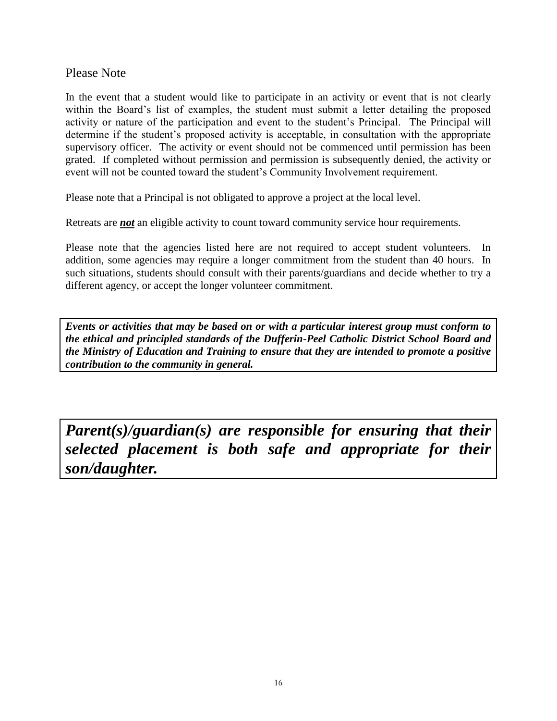#### Please Note

In the event that a student would like to participate in an activity or event that is not clearly within the Board's list of examples, the student must submit a letter detailing the proposed activity or nature of the participation and event to the student"s Principal. The Principal will determine if the student's proposed activity is acceptable, in consultation with the appropriate supervisory officer. The activity or event should not be commenced until permission has been grated. If completed without permission and permission is subsequently denied, the activity or event will not be counted toward the student"s Community Involvement requirement.

Please note that a Principal is not obligated to approve a project at the local level.

Retreats are *not* an eligible activity to count toward community service hour requirements.

Please note that the agencies listed here are not required to accept student volunteers. In addition, some agencies may require a longer commitment from the student than 40 hours. In such situations, students should consult with their parents/guardians and decide whether to try a different agency, or accept the longer volunteer commitment.

*Events or activities that may be based on or with a particular interest group must conform to the ethical and principled standards of the Dufferin-Peel Catholic District School Board and the Ministry of Education and Training to ensure that they are intended to promote a positive contribution to the community in general.*

*Parent(s)/guardian(s) are responsible for ensuring that their selected placement is both safe and appropriate for their son/daughter.*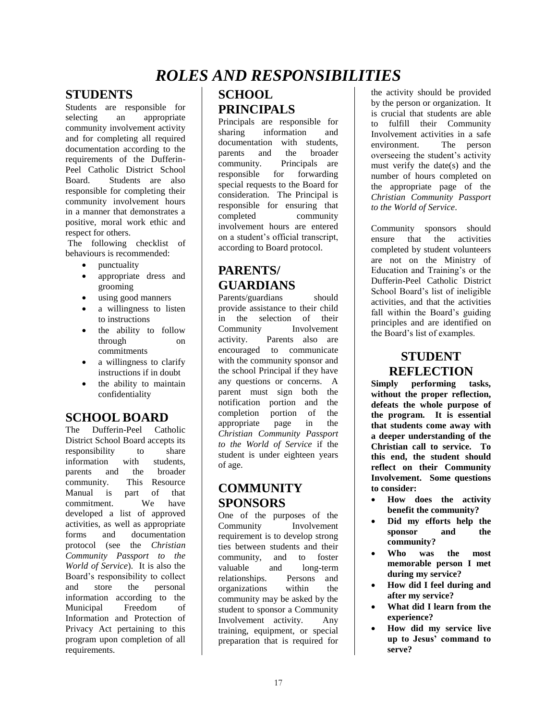### *ROLES AND RESPONSIBILITIES*

#### <span id="page-16-0"></span>**STUDENTS**

Students are responsible for selecting an appropriate community involvement activity and for completing all required documentation according to the requirements of the Dufferin-Peel Catholic District School Board. Students are also responsible for completing their community involvement hours in a manner that demonstrates a positive, moral work ethic and respect for others.

The following checklist of behaviours is recommended:

- punctuality
- appropriate dress and grooming
- using good manners
- a willingness to listen to instructions
- the ability to follow through on commitments
- a willingness to clarify instructions if in doubt
- the ability to maintain confidentiality

#### **SCHOOL BOARD**

The Dufferin-Peel Catholic District School Board accepts its responsibility to share information with students, parents and the broader community. This Resource Manual is part of that commitment. We have developed a list of approved activities, as well as appropriate forms and documentation protocol (see the *Christian Community Passport to the World of Service*). It is also the Board"s responsibility to collect and store the personal information according to the Municipal Freedom of Information and Protection of Privacy Act pertaining to this program upon completion of all requirements.

### **SCHOOL PRINCIPALS**

Principals are responsible for sharing information and documentation with students parents and the broader community. Principals are responsible for forwarding special requests to the Board for consideration. The Principal is responsible for ensuring that completed community involvement hours are entered on a student"s official transcript, according to Board protocol.

### **PARENTS/ GUARDIANS**

Parents/guardians should provide assistance to their child in the selection of their Community Involvement activity. Parents also are encouraged to communicate with the community sponsor and the school Principal if they have any questions or concerns. A parent must sign both the notification portion and the completion portion of the appropriate page in the *Christian Community Passport to the World of Service* if the student is under eighteen years of age.

### **COMMUNITY SPONSORS**

One of the purposes of the Community Involvement requirement is to develop strong ties between students and their community, and to foster valuable and long-term relationships. Persons and organizations within the community may be asked by the student to sponsor a Community Involvement activity. Any training, equipment, or special preparation that is required for

the activity should be provided by the person or organization. It is crucial that students are able to fulfill their Community Involvement activities in a safe environment. The person overseeing the student"s activity must verify the date(s) and the number of hours completed on the appropriate page of the *Christian Community Passport to the World of Service*.

Community sponsors should ensure that the activities completed by student volunteers are not on the Ministry of Education and Training's or the Dufferin-Peel Catholic District School Board"s list of ineligible activities, and that the activities fall within the Board's guiding principles and are identified on the Board"s list of examples.

### **STUDENT REFLECTION**

**Simply performing tasks, without the proper reflection, defeats the whole purpose of the program. It is essential that students come away with a deeper understanding of the Christian call to service. To this end, the student should reflect on their Community Involvement. Some questions to consider:**

- **How does the activity benefit the community?**
- **Did my efforts help the sponsor and the community?**
- **Who was the most memorable person I met during my service?**
- **How did I feel during and after my service?**
- **What did I learn from the experience?**
- **How did my service live up to Jesus' command to serve?**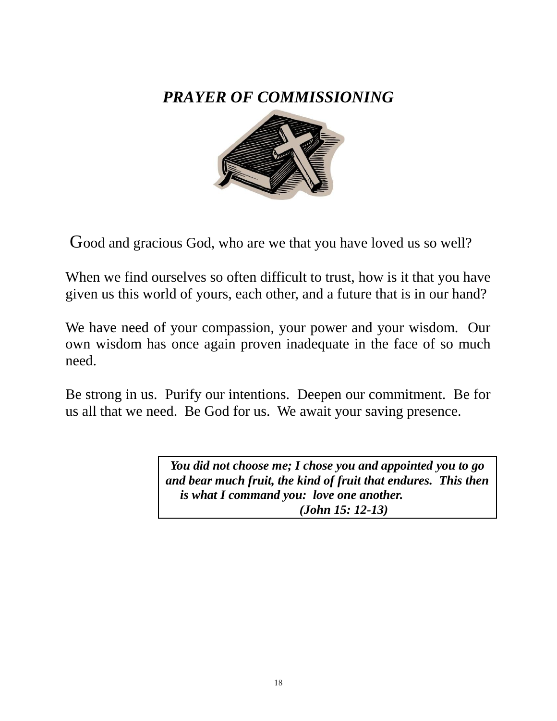### <span id="page-17-0"></span>*PRAYER OF COMMISSIONING*



Good and gracious God, who are we that you have loved us so well?

When we find ourselves so often difficult to trust, how is it that you have given us this world of yours, each other, and a future that is in our hand?

We have need of your compassion, your power and your wisdom. Our own wisdom has once again proven inadequate in the face of so much need.

Be strong in us. Purify our intentions. Deepen our commitment. Be for us all that we need. Be God for us. We await your saving presence.

> *You did not choose me; I chose you and appointed you to go and bear much fruit, the kind of fruit that endures. This then is what I command you: love one another. (John 15: 12-13)*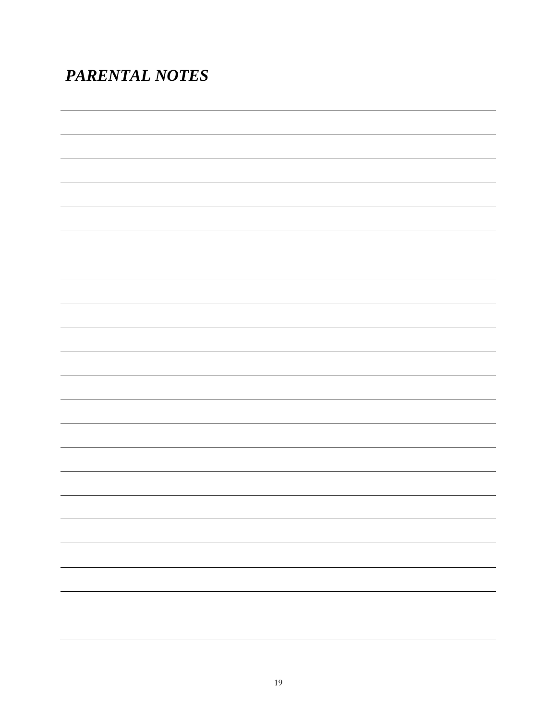### <span id="page-18-0"></span>*PARENTAL NOTES*

L, ,我们也不会有什么。""我们的人,我们也不会有什么?""我们的人,我们也不会有什么?""我们的人,我们也不会有什么?""我们的人,我们也不会有什么?""我们的人 ,我们也不会有什么。""我们的人,我们也不会有什么?""我们的人,我们也不会有什么?""我们的人,我们也不会有什么?""我们的人,我们也不会有什么?""我们的人